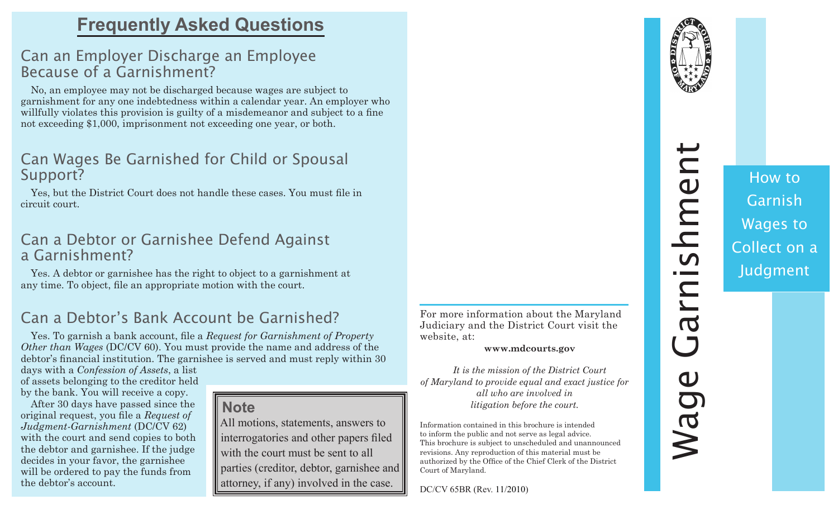# **Frequently Asked Questions**

## Can an Employer Discharge an Employee Because of a Garnishment?

No, an employee may not be discharged because wages are subject to garnishment for any one indebtedness within a calendar year. An employer who willfully violates this provision is guilty of a misdemeanor and subject to a fine not exceeding \$1,000, imprisonment not exceeding one year, or both.

### Can Wages Be Garnished for Child or Spousal Support?

Yes, but the District Court does not handle these cases. You must file in circuit court.

## Can a Debtor or Garnishee Defend Against a Garnishment?

Yes. A debtor or garnishee has the right to object to a garnishment at any time. To object, file an appropriate motion with the court.

# Can a Debtor's Bank Account be Garnished?

Yes. To garnish a bank account, file a *Request for Garnishment of Property Other than Wages* (DC/CV 60). You must provide the name and address of the debtor's financial institution. The garnishee is served and must reply within 30

days with a *Confession of Assets*, a list of assets belonging to the creditor held by the bank. You will receive a copy.

After 30 days have passed since the original request, you file a *Request of Judgment-Garnishment* (DC/CV 62) with the court and send copies to both the debtor and garnishee. If the judge decides in your favor, the garnishee will be ordered to pay the funds from the debtor's account.

#### **Note**

 All motions, statements, answers to interrogatories and other papers filed with the court must be sent to all parties (creditor, debtor, garnishee and attorney, if any) involved in the case.

For more information about the Maryland Judiciary and the District Court visit the website, at:

**www.mdcourts.gov**

*It is the mission of the District Court of Maryland to provide equal and exact justice for all who are involved in litigation before the court.* 

Information contained in this brochure is intended to inform the public and not serve as legal advice. This brochure is subject to unscheduled and unannounced revisions. Any reproduction of this material must be authorized by the Office of the Chief Clerk of the District Court of Maryland.

DC/CV 65BR (Rev. 11/2010)



# Wage Garnishment arnishment  $\mathbf 0$ **Mag**

How to Garnish Wages to Collect on a Judgment